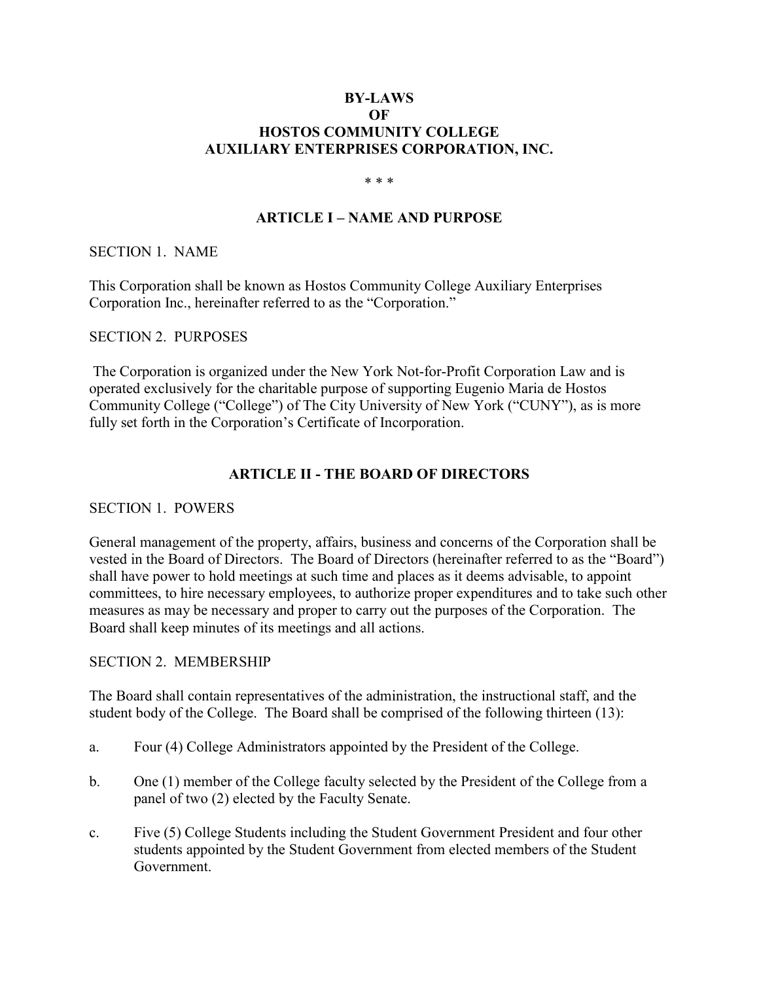### **BY-LAWS OF HOSTOS COMMUNITY COLLEGE AUXILIARY ENTERPRISES CORPORATION, INC.**

#### \* \* \*

### **ARTICLE I – NAME AND PURPOSE**

SECTION 1. NAME

This Corporation shall be known as Hostos Community College Auxiliary Enterprises Corporation Inc., hereinafter referred to as the "Corporation."

#### SECTION 2. PURPOSES

The Corporation is organized under the New York Not-for-Profit Corporation Law and is operated exclusively for the charitable purpose of supporting Eugenio Maria de Hostos Community College ("College") of The City University of New York ("CUNY"), as is more fully set forth in the Corporation's Certificate of Incorporation.

#### **ARTICLE II - THE BOARD OF DIRECTORS**

#### SECTION 1. POWERS

General management of the property, affairs, business and concerns of the Corporation shall be vested in the Board of Directors. The Board of Directors (hereinafter referred to as the "Board") shall have power to hold meetings at such time and places as it deems advisable, to appoint committees, to hire necessary employees, to authorize proper expenditures and to take such other measures as may be necessary and proper to carry out the purposes of the Corporation. The Board shall keep minutes of its meetings and all actions.

#### SECTION 2. MEMBERSHIP

The Board shall contain representatives of the administration, the instructional staff, and the student body of the College. The Board shall be comprised of the following thirteen (13):

- a. Four (4) College Administrators appointed by the President of the College.
- b. One (1) member of the College faculty selected by the President of the College from a panel of two (2) elected by the Faculty Senate.
- c. Five (5) College Students including the Student Government President and four other students appointed by the Student Government from elected members of the Student Government.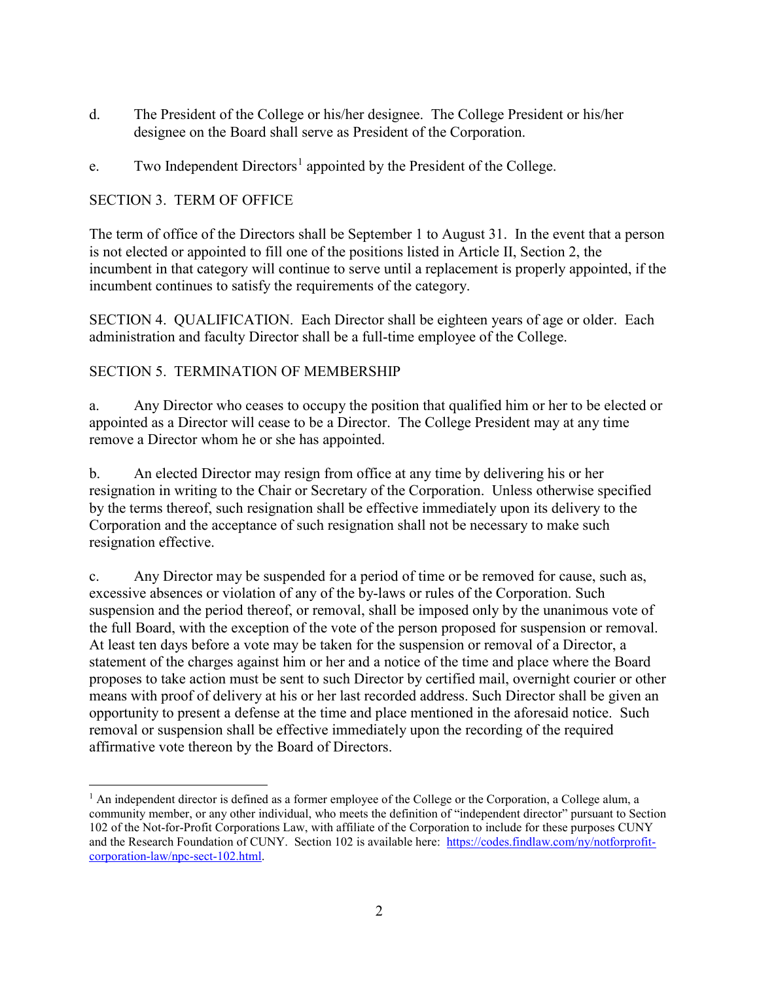- d. The President of the College or his/her designee. The College President or his/her designee on the Board shall serve as President of the Corporation.
- e. Two Independent Directors<sup>[1](#page-1-0)</sup> appointed by the President of the College.

# SECTION 3. TERM OF OFFICE

The term of office of the Directors shall be September 1 to August 31. In the event that a person is not elected or appointed to fill one of the positions listed in Article II, Section 2, the incumbent in that category will continue to serve until a replacement is properly appointed, if the incumbent continues to satisfy the requirements of the category.

SECTION 4. QUALIFICATION. Each Director shall be eighteen years of age or older. Each administration and faculty Director shall be a full-time employee of the College.

### SECTION 5. TERMINATION OF MEMBERSHIP

a. Any Director who ceases to occupy the position that qualified him or her to be elected or appointed as a Director will cease to be a Director. The College President may at any time remove a Director whom he or she has appointed.

b. An elected Director may resign from office at any time by delivering his or her resignation in writing to the Chair or Secretary of the Corporation. Unless otherwise specified by the terms thereof, such resignation shall be effective immediately upon its delivery to the Corporation and the acceptance of such resignation shall not be necessary to make such resignation effective.

c. Any Director may be suspended for a period of time or be removed for cause, such as, excessive absences or violation of any of the by-laws or rules of the Corporation. Such suspension and the period thereof, or removal, shall be imposed only by the unanimous vote of the full Board, with the exception of the vote of the person proposed for suspension or removal. At least ten days before a vote may be taken for the suspension or removal of a Director, a statement of the charges against him or her and a notice of the time and place where the Board proposes to take action must be sent to such Director by certified mail, overnight courier or other means with proof of delivery at his or her last recorded address. Such Director shall be given an opportunity to present a defense at the time and place mentioned in the aforesaid notice. Such removal or suspension shall be effective immediately upon the recording of the required affirmative vote thereon by the Board of Directors.

<span id="page-1-0"></span> $<sup>1</sup>$  An independent director is defined as a former employee of the College or the Corporation, a College alum, a</sup> community member, or any other individual, who meets the definition of "independent director" pursuant to Section 102 of the Not-for-Profit Corporations Law, with affiliate of the Corporation to include for these purposes CUNY and the Research Foundation of CUNY. Section 102 is available here: [https://codes.findlaw.com/ny/notforprofit](https://codes.findlaw.com/ny/notforprofit-corporation-law/npc-sect-102.html)[corporation-law/npc-sect-102.html.](https://codes.findlaw.com/ny/notforprofit-corporation-law/npc-sect-102.html)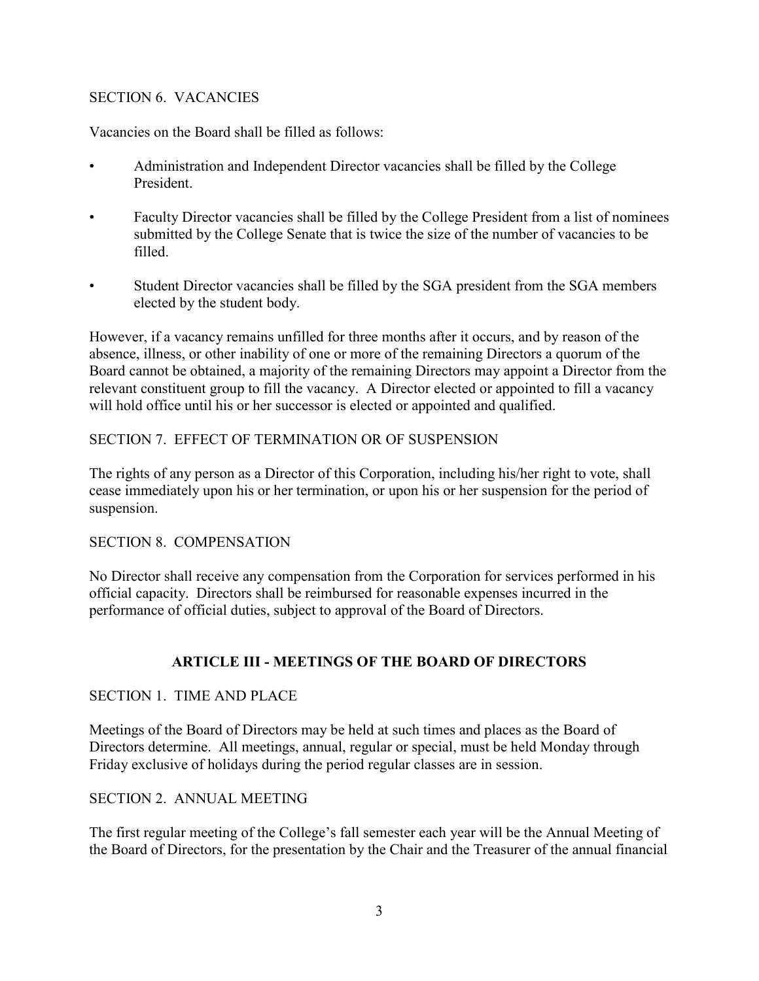### SECTION 6. VACANCIES

Vacancies on the Board shall be filled as follows:

- Administration and Independent Director vacancies shall be filled by the College President.
- Faculty Director vacancies shall be filled by the College President from a list of nominees submitted by the College Senate that is twice the size of the number of vacancies to be filled.
- Student Director vacancies shall be filled by the SGA president from the SGA members elected by the student body.

However, if a vacancy remains unfilled for three months after it occurs, and by reason of the absence, illness, or other inability of one or more of the remaining Directors a quorum of the Board cannot be obtained, a majority of the remaining Directors may appoint a Director from the relevant constituent group to fill the vacancy. A Director elected or appointed to fill a vacancy will hold office until his or her successor is elected or appointed and qualified.

# SECTION 7. EFFECT OF TERMINATION OR OF SUSPENSION

The rights of any person as a Director of this Corporation, including his/her right to vote, shall cease immediately upon his or her termination, or upon his or her suspension for the period of suspension.

### SECTION 8. COMPENSATION

No Director shall receive any compensation from the Corporation for services performed in his official capacity. Directors shall be reimbursed for reasonable expenses incurred in the performance of official duties, subject to approval of the Board of Directors.

# **ARTICLE III - MEETINGS OF THE BOARD OF DIRECTORS**

### SECTION 1. TIME AND PLACE

Meetings of the Board of Directors may be held at such times and places as the Board of Directors determine. All meetings, annual, regular or special, must be held Monday through Friday exclusive of holidays during the period regular classes are in session.

# SECTION 2. ANNUAL MEETING

The first regular meeting of the College's fall semester each year will be the Annual Meeting of the Board of Directors, for the presentation by the Chair and the Treasurer of the annual financial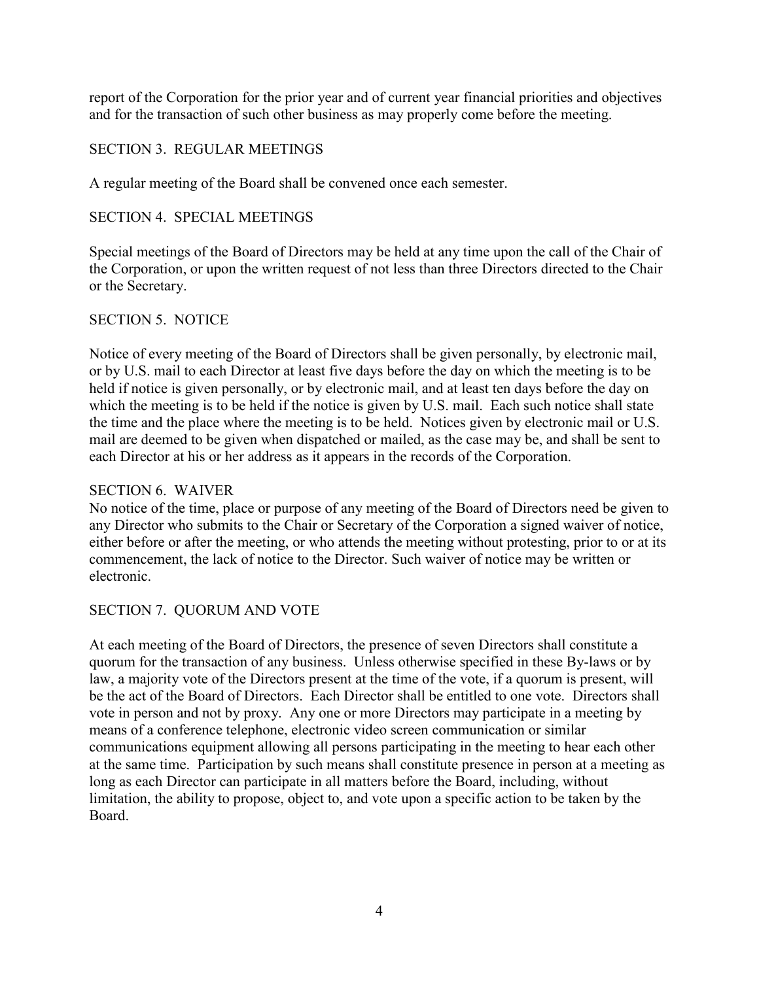report of the Corporation for the prior year and of current year financial priorities and objectives and for the transaction of such other business as may properly come before the meeting.

### SECTION 3. REGULAR MEETINGS

A regular meeting of the Board shall be convened once each semester.

### SECTION 4. SPECIAL MEETINGS

Special meetings of the Board of Directors may be held at any time upon the call of the Chair of the Corporation, or upon the written request of not less than three Directors directed to the Chair or the Secretary.

### SECTION 5. NOTICE

Notice of every meeting of the Board of Directors shall be given personally, by electronic mail, or by U.S. mail to each Director at least five days before the day on which the meeting is to be held if notice is given personally, or by electronic mail, and at least ten days before the day on which the meeting is to be held if the notice is given by U.S. mail. Each such notice shall state the time and the place where the meeting is to be held. Notices given by electronic mail or U.S. mail are deemed to be given when dispatched or mailed, as the case may be, and shall be sent to each Director at his or her address as it appears in the records of the Corporation.

### SECTION 6. WAIVER

No notice of the time, place or purpose of any meeting of the Board of Directors need be given to any Director who submits to the Chair or Secretary of the Corporation a signed waiver of notice, either before or after the meeting, or who attends the meeting without protesting, prior to or at its commencement, the lack of notice to the Director. Such waiver of notice may be written or electronic.

# SECTION 7. QUORUM AND VOTE

At each meeting of the Board of Directors, the presence of seven Directors shall constitute a quorum for the transaction of any business. Unless otherwise specified in these By-laws or by law, a majority vote of the Directors present at the time of the vote, if a quorum is present, will be the act of the Board of Directors. Each Director shall be entitled to one vote. Directors shall vote in person and not by proxy. Any one or more Directors may participate in a meeting by means of a conference telephone, electronic video screen communication or similar communications equipment allowing all persons participating in the meeting to hear each other at the same time. Participation by such means shall constitute presence in person at a meeting as long as each Director can participate in all matters before the Board, including, without limitation, the ability to propose, object to, and vote upon a specific action to be taken by the Board.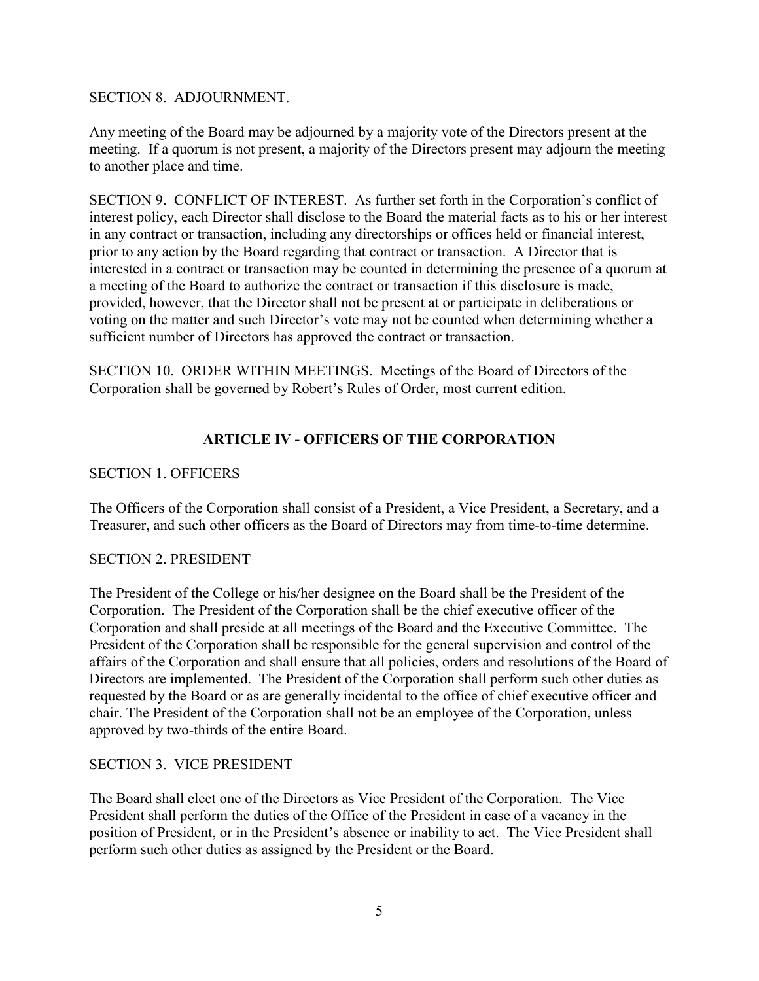#### SECTION 8. ADJOURNMENT.

Any meeting of the Board may be adjourned by a majority vote of the Directors present at the meeting. If a quorum is not present, a majority of the Directors present may adjourn the meeting to another place and time.

SECTION 9. CONFLICT OF INTEREST. As further set forth in the Corporation's conflict of interest policy, each Director shall disclose to the Board the material facts as to his or her interest in any contract or transaction, including any directorships or offices held or financial interest, prior to any action by the Board regarding that contract or transaction. A Director that is interested in a contract or transaction may be counted in determining the presence of a quorum at a meeting of the Board to authorize the contract or transaction if this disclosure is made, provided, however, that the Director shall not be present at or participate in deliberations or voting on the matter and such Director's vote may not be counted when determining whether a sufficient number of Directors has approved the contract or transaction.

SECTION 10. ORDER WITHIN MEETINGS. Meetings of the Board of Directors of the Corporation shall be governed by Robert's Rules of Order, most current edition.

# **ARTICLE IV - OFFICERS OF THE CORPORATION**

### SECTION 1. OFFICERS

The Officers of the Corporation shall consist of a President, a Vice President, a Secretary, and a Treasurer, and such other officers as the Board of Directors may from time-to-time determine.

### SECTION 2. PRESIDENT

The President of the College or his/her designee on the Board shall be the President of the Corporation. The President of the Corporation shall be the chief executive officer of the Corporation and shall preside at all meetings of the Board and the Executive Committee. The President of the Corporation shall be responsible for the general supervision and control of the affairs of the Corporation and shall ensure that all policies, orders and resolutions of the Board of Directors are implemented. The President of the Corporation shall perform such other duties as requested by the Board or as are generally incidental to the office of chief executive officer and chair. The President of the Corporation shall not be an employee of the Corporation, unless approved by two-thirds of the entire Board.

### SECTION 3. VICE PRESIDENT

The Board shall elect one of the Directors as Vice President of the Corporation. The Vice President shall perform the duties of the Office of the President in case of a vacancy in the position of President, or in the President's absence or inability to act. The Vice President shall perform such other duties as assigned by the President or the Board.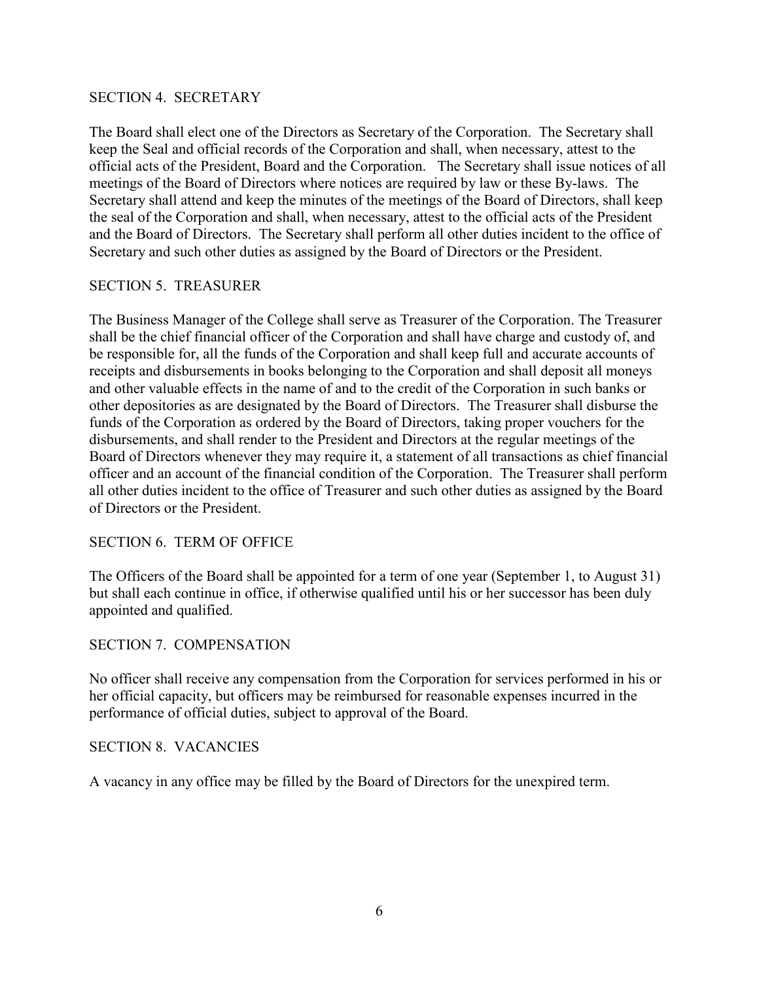#### SECTION 4. SECRETARY

The Board shall elect one of the Directors as Secretary of the Corporation. The Secretary shall keep the Seal and official records of the Corporation and shall, when necessary, attest to the official acts of the President, Board and the Corporation. The Secretary shall issue notices of all meetings of the Board of Directors where notices are required by law or these By-laws. The Secretary shall attend and keep the minutes of the meetings of the Board of Directors, shall keep the seal of the Corporation and shall, when necessary, attest to the official acts of the President and the Board of Directors. The Secretary shall perform all other duties incident to the office of Secretary and such other duties as assigned by the Board of Directors or the President.

### SECTION 5. TREASURER

The Business Manager of the College shall serve as Treasurer of the Corporation. The Treasurer shall be the chief financial officer of the Corporation and shall have charge and custody of, and be responsible for, all the funds of the Corporation and shall keep full and accurate accounts of receipts and disbursements in books belonging to the Corporation and shall deposit all moneys and other valuable effects in the name of and to the credit of the Corporation in such banks or other depositories as are designated by the Board of Directors. The Treasurer shall disburse the funds of the Corporation as ordered by the Board of Directors, taking proper vouchers for the disbursements, and shall render to the President and Directors at the regular meetings of the Board of Directors whenever they may require it, a statement of all transactions as chief financial officer and an account of the financial condition of the Corporation. The Treasurer shall perform all other duties incident to the office of Treasurer and such other duties as assigned by the Board of Directors or the President.

### SECTION 6. TERM OF OFFICE

The Officers of the Board shall be appointed for a term of one year (September 1, to August 31) but shall each continue in office, if otherwise qualified until his or her successor has been duly appointed and qualified.

### SECTION 7. COMPENSATION

No officer shall receive any compensation from the Corporation for services performed in his or her official capacity, but officers may be reimbursed for reasonable expenses incurred in the performance of official duties, subject to approval of the Board.

#### SECTION 8. VACANCIES

A vacancy in any office may be filled by the Board of Directors for the unexpired term.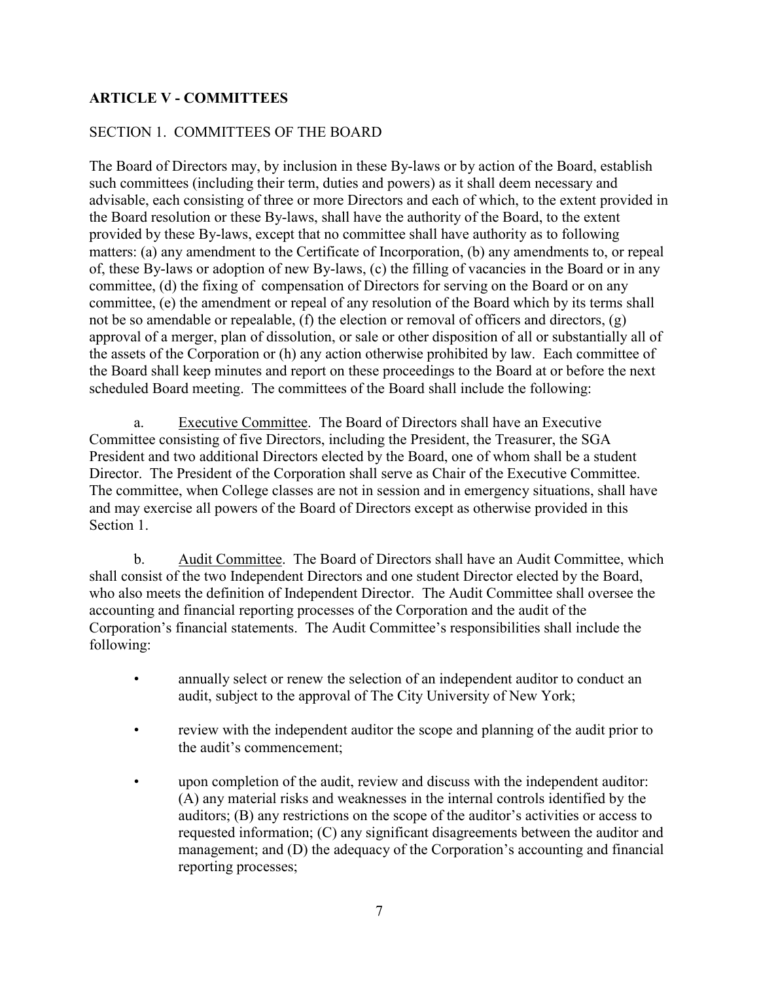# **ARTICLE V - COMMITTEES**

# SECTION 1. COMMITTEES OF THE BOARD

The Board of Directors may, by inclusion in these By-laws or by action of the Board, establish such committees (including their term, duties and powers) as it shall deem necessary and advisable, each consisting of three or more Directors and each of which, to the extent provided in the Board resolution or these By-laws, shall have the authority of the Board, to the extent provided by these By-laws, except that no committee shall have authority as to following matters: (a) any amendment to the Certificate of Incorporation, (b) any amendments to, or repeal of, these By-laws or adoption of new By-laws, (c) the filling of vacancies in the Board or in any committee, (d) the fixing of compensation of Directors for serving on the Board or on any committee, (e) the amendment or repeal of any resolution of the Board which by its terms shall not be so amendable or repealable, (f) the election or removal of officers and directors, (g) approval of a merger, plan of dissolution, or sale or other disposition of all or substantially all of the assets of the Corporation or (h) any action otherwise prohibited by law. Each committee of the Board shall keep minutes and report on these proceedings to the Board at or before the next scheduled Board meeting. The committees of the Board shall include the following:

a. Executive Committee. The Board of Directors shall have an Executive Committee consisting of five Directors, including the President, the Treasurer, the SGA President and two additional Directors elected by the Board, one of whom shall be a student Director. The President of the Corporation shall serve as Chair of the Executive Committee. The committee, when College classes are not in session and in emergency situations, shall have and may exercise all powers of the Board of Directors except as otherwise provided in this Section 1.

b. Audit Committee. The Board of Directors shall have an Audit Committee, which shall consist of the two Independent Directors and one student Director elected by the Board, who also meets the definition of Independent Director. The Audit Committee shall oversee the accounting and financial reporting processes of the Corporation and the audit of the Corporation's financial statements. The Audit Committee's responsibilities shall include the following:

- annually select or renew the selection of an independent auditor to conduct an audit, subject to the approval of The City University of New York;
- review with the independent auditor the scope and planning of the audit prior to the audit's commencement;
- upon completion of the audit, review and discuss with the independent auditor: (A) any material risks and weaknesses in the internal controls identified by the auditors; (B) any restrictions on the scope of the auditor's activities or access to requested information; (C) any significant disagreements between the auditor and management; and (D) the adequacy of the Corporation's accounting and financial reporting processes;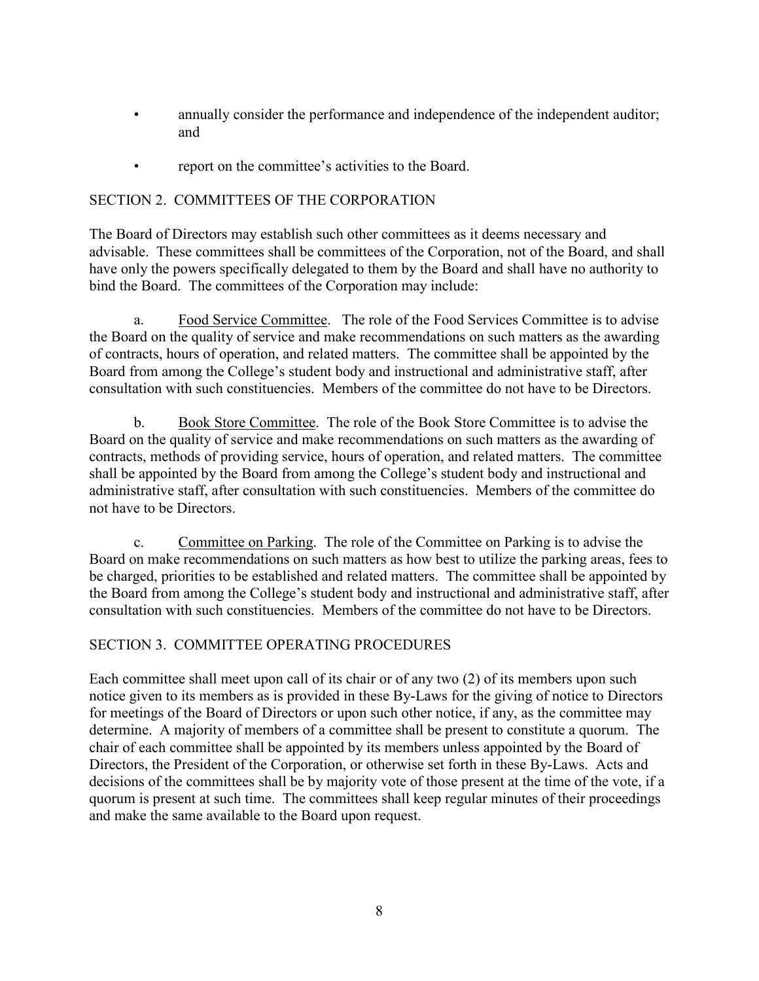- annually consider the performance and independence of the independent auditor; and
- report on the committee's activities to the Board.

# SECTION 2. COMMITTEES OF THE CORPORATION

The Board of Directors may establish such other committees as it deems necessary and advisable. These committees shall be committees of the Corporation, not of the Board, and shall have only the powers specifically delegated to them by the Board and shall have no authority to bind the Board. The committees of the Corporation may include:

a. Food Service Committee. The role of the Food Services Committee is to advise the Board on the quality of service and make recommendations on such matters as the awarding of contracts, hours of operation, and related matters. The committee shall be appointed by the Board from among the College's student body and instructional and administrative staff, after consultation with such constituencies. Members of the committee do not have to be Directors.

b. Book Store Committee. The role of the Book Store Committee is to advise the Board on the quality of service and make recommendations on such matters as the awarding of contracts, methods of providing service, hours of operation, and related matters. The committee shall be appointed by the Board from among the College's student body and instructional and administrative staff, after consultation with such constituencies. Members of the committee do not have to be Directors.

c. Committee on Parking. The role of the Committee on Parking is to advise the Board on make recommendations on such matters as how best to utilize the parking areas, fees to be charged, priorities to be established and related matters. The committee shall be appointed by the Board from among the College's student body and instructional and administrative staff, after consultation with such constituencies. Members of the committee do not have to be Directors.

# SECTION 3. COMMITTEE OPERATING PROCEDURES

Each committee shall meet upon call of its chair or of any two (2) of its members upon such notice given to its members as is provided in these By-Laws for the giving of notice to Directors for meetings of the Board of Directors or upon such other notice, if any, as the committee may determine. A majority of members of a committee shall be present to constitute a quorum. The chair of each committee shall be appointed by its members unless appointed by the Board of Directors, the President of the Corporation, or otherwise set forth in these By-Laws. Acts and decisions of the committees shall be by majority vote of those present at the time of the vote, if a quorum is present at such time. The committees shall keep regular minutes of their proceedings and make the same available to the Board upon request.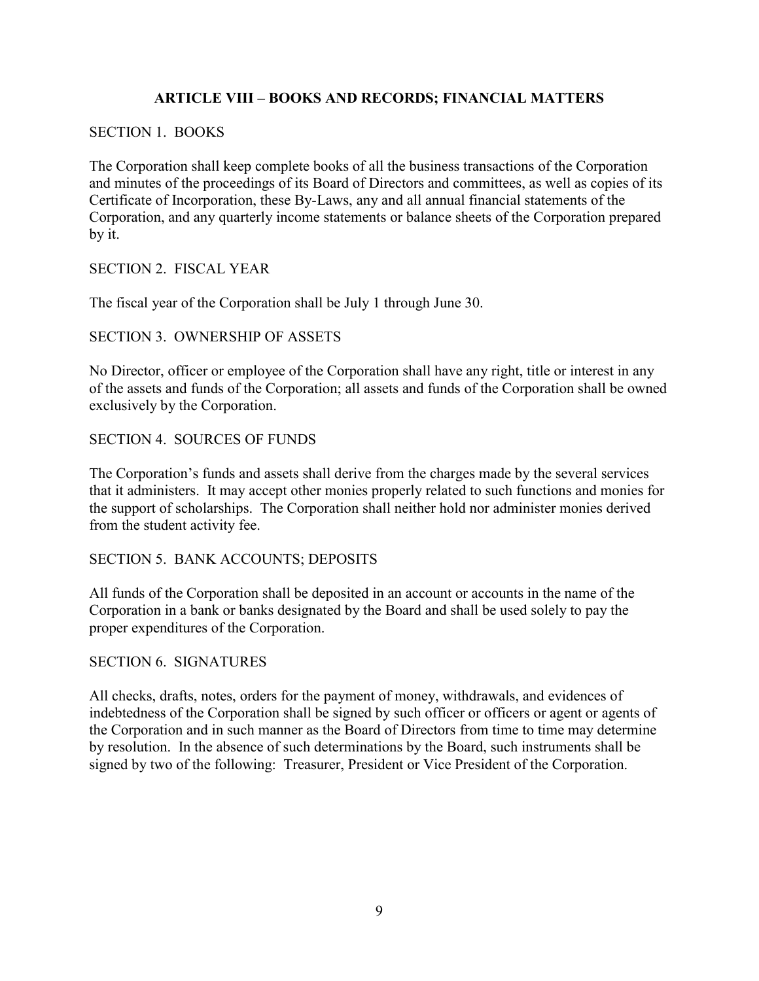# **ARTICLE VIII – BOOKS AND RECORDS; FINANCIAL MATTERS**

#### SECTION 1. BOOKS

The Corporation shall keep complete books of all the business transactions of the Corporation and minutes of the proceedings of its Board of Directors and committees, as well as copies of its Certificate of Incorporation, these By-Laws, any and all annual financial statements of the Corporation, and any quarterly income statements or balance sheets of the Corporation prepared by it.

SECTION 2. FISCAL YEAR

The fiscal year of the Corporation shall be July 1 through June 30.

### SECTION 3. OWNERSHIP OF ASSETS

No Director, officer or employee of the Corporation shall have any right, title or interest in any of the assets and funds of the Corporation; all assets and funds of the Corporation shall be owned exclusively by the Corporation.

### SECTION 4. SOURCES OF FUNDS

The Corporation's funds and assets shall derive from the charges made by the several services that it administers. It may accept other monies properly related to such functions and monies for the support of scholarships. The Corporation shall neither hold nor administer monies derived from the student activity fee.

### SECTION 5. BANK ACCOUNTS; DEPOSITS

All funds of the Corporation shall be deposited in an account or accounts in the name of the Corporation in a bank or banks designated by the Board and shall be used solely to pay the proper expenditures of the Corporation.

#### SECTION 6. SIGNATURES

All checks, drafts, notes, orders for the payment of money, withdrawals, and evidences of indebtedness of the Corporation shall be signed by such officer or officers or agent or agents of the Corporation and in such manner as the Board of Directors from time to time may determine by resolution. In the absence of such determinations by the Board, such instruments shall be signed by two of the following: Treasurer, President or Vice President of the Corporation.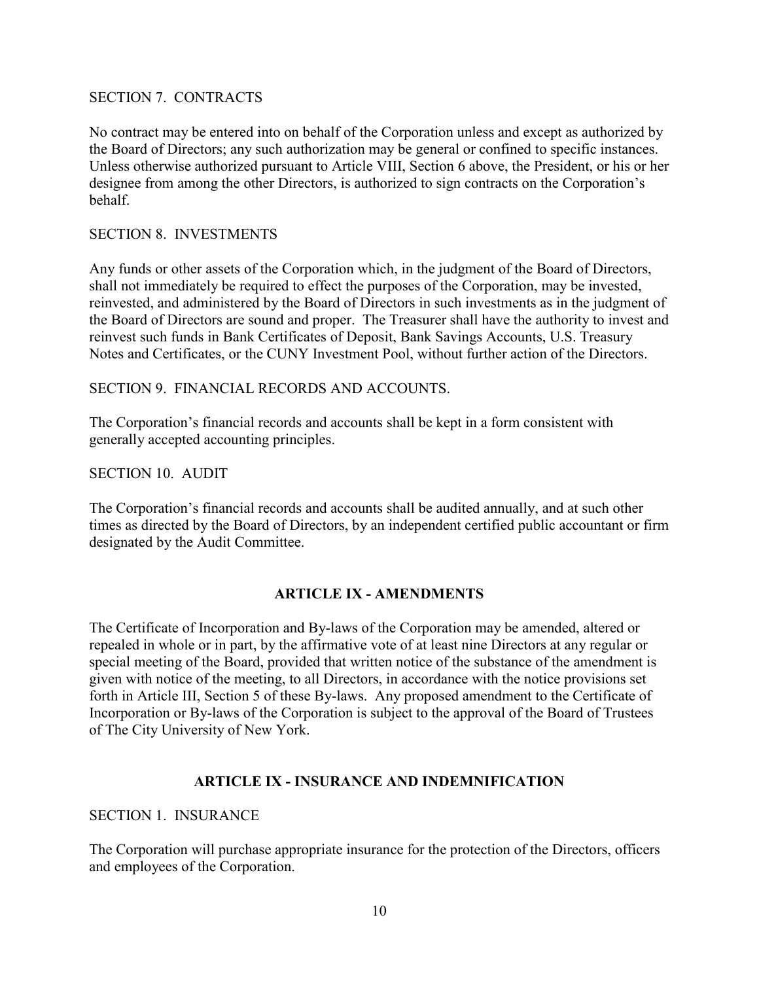#### SECTION 7. CONTRACTS

No contract may be entered into on behalf of the Corporation unless and except as authorized by the Board of Directors; any such authorization may be general or confined to specific instances. Unless otherwise authorized pursuant to Article VIII, Section 6 above, the President, or his or her designee from among the other Directors, is authorized to sign contracts on the Corporation's behalf.

### SECTION 8. INVESTMENTS

Any funds or other assets of the Corporation which, in the judgment of the Board of Directors, shall not immediately be required to effect the purposes of the Corporation, may be invested, reinvested, and administered by the Board of Directors in such investments as in the judgment of the Board of Directors are sound and proper. The Treasurer shall have the authority to invest and reinvest such funds in Bank Certificates of Deposit, Bank Savings Accounts, U.S. Treasury Notes and Certificates, or the CUNY Investment Pool, without further action of the Directors.

### SECTION 9. FINANCIAL RECORDS AND ACCOUNTS.

The Corporation's financial records and accounts shall be kept in a form consistent with generally accepted accounting principles.

#### SECTION 10. AUDIT

The Corporation's financial records and accounts shall be audited annually, and at such other times as directed by the Board of Directors, by an independent certified public accountant or firm designated by the Audit Committee.

### **ARTICLE IX - AMENDMENTS**

The Certificate of Incorporation and By-laws of the Corporation may be amended, altered or repealed in whole or in part, by the affirmative vote of at least nine Directors at any regular or special meeting of the Board, provided that written notice of the substance of the amendment is given with notice of the meeting, to all Directors, in accordance with the notice provisions set forth in Article III, Section 5 of these By-laws. Any proposed amendment to the Certificate of Incorporation or By-laws of the Corporation is subject to the approval of the Board of Trustees of The City University of New York.

### **ARTICLE IX - INSURANCE AND INDEMNIFICATION**

#### SECTION 1. INSURANCE

The Corporation will purchase appropriate insurance for the protection of the Directors, officers and employees of the Corporation.